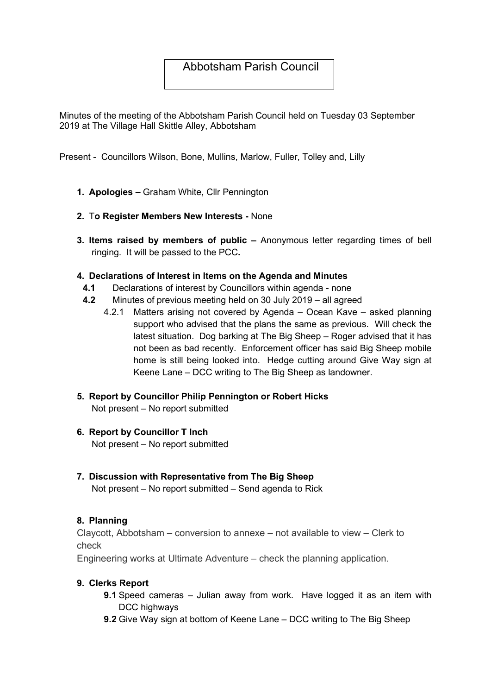# Abbotsham Parish Council

Minutes of the meeting of the Abbotsham Parish Council held on Tuesday 03 September 2019 at The Village Hall Skittle Alley, Abbotsham

Present - Councillors Wilson, Bone, Mullins, Marlow, Fuller, Tolley and, Lilly

- 1. Apologies Graham White, Cllr Pennington
- 2. To Register Members New Interests None
- 3. Items raised by members of public Anonymous letter regarding times of bell ringing. It will be passed to the PCC.

#### 4. Declarations of Interest in Items on the Agenda and Minutes

- 4.1 Declarations of interest by Councillors within agenda none
- 4.2 Minutes of previous meeting held on 30 July 2019 all agreed
	- 4.2.1 Matters arising not covered by Agenda Ocean Kave asked planning support who advised that the plans the same as previous. Will check the latest situation. Dog barking at The Big Sheep – Roger advised that it has not been as bad recently. Enforcement officer has said Big Sheep mobile home is still being looked into. Hedge cutting around Give Way sign at Keene Lane – DCC writing to The Big Sheep as landowner.
- 5. Report by Councillor Philip Pennington or Robert Hicks Not present – No report submitted
- 6. Report by Councillor T Inch Not present – No report submitted
- 7. Discussion with Representative from The Big Sheep Not present – No report submitted – Send agenda to Rick

#### 8. Planning

Claycott, Abbotsham – conversion to annexe – not available to view – Clerk to check

Engineering works at Ultimate Adventure – check the planning application.

#### 9. Clerks Report

- 9.1 Speed cameras Julian away from work. Have logged it as an item with DCC highways
- 9.2 Give Way sign at bottom of Keene Lane DCC writing to The Big Sheep